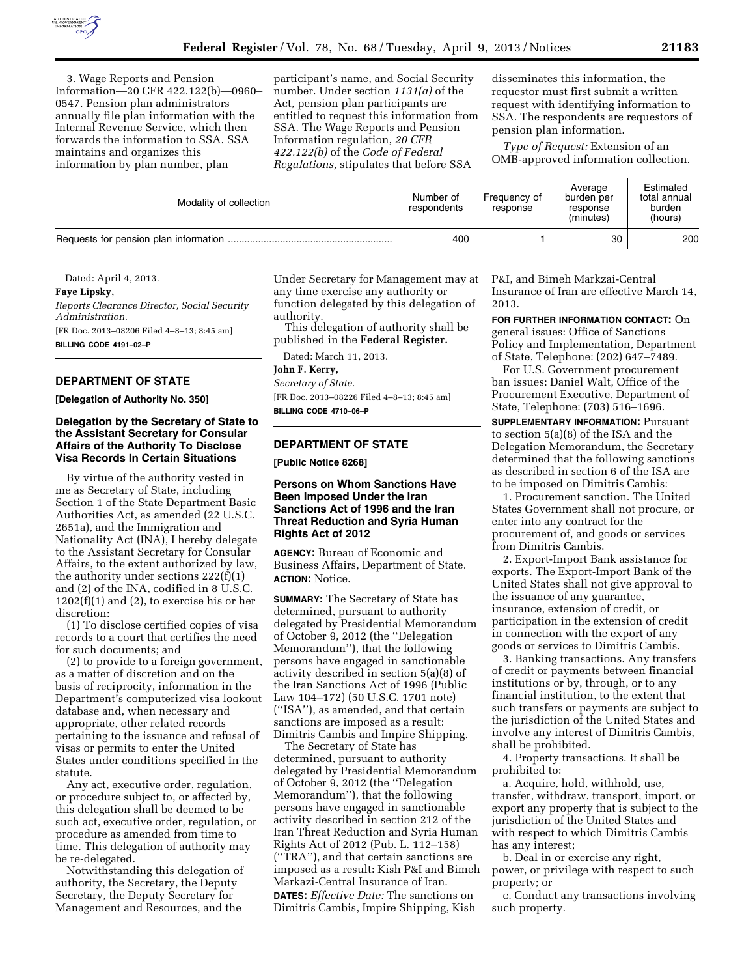

3. Wage Reports and Pension Information—20 CFR 422.122(b)—0960– 0547. Pension plan administrators annually file plan information with the Internal Revenue Service, which then forwards the information to SSA. SSA maintains and organizes this information by plan number, plan

participant's name, and Social Security number. Under section *1131(a)* of the Act, pension plan participants are entitled to request this information from SSA. The Wage Reports and Pension Information regulation, *20 CFR 422.122(b)* of the *Code of Federal Regulations,* stipulates that before SSA

disseminates this information, the requestor must first submit a written request with identifying information to SSA. The respondents are requestors of pension plan information.

*Type of Request:* Extension of an OMB-approved information collection.

| Modality of collection | Number of<br>respondents | Frequency of<br>response | Average<br>burden per<br>response<br>(minutes) | Estimated<br>total annual<br>burden<br>(hours) |
|------------------------|--------------------------|--------------------------|------------------------------------------------|------------------------------------------------|
|                        | 400                      |                          | 30                                             | 200                                            |

Dated: April 4, 2013.

**Faye Lipsky,** 

*Reports Clearance Director, Social Security Administration.*  [FR Doc. 2013–08206 Filed 4–8–13; 8:45 am] **BILLING CODE 4191–02–P** 

# **DEPARTMENT OF STATE**

**[Delegation of Authority No. 350]** 

## **Delegation by the Secretary of State to the Assistant Secretary for Consular Affairs of the Authority To Disclose Visa Records In Certain Situations**

By virtue of the authority vested in me as Secretary of State, including Section 1 of the State Department Basic Authorities Act, as amended (22 U.S.C. 2651a), and the Immigration and Nationality Act (INA), I hereby delegate to the Assistant Secretary for Consular Affairs, to the extent authorized by law, the authority under sections 222(f)(1) and (2) of the INA, codified in 8 U.S.C.  $1202(f)(1)$  and  $(2)$ , to exercise his or her discretion:

(1) To disclose certified copies of visa records to a court that certifies the need for such documents; and

(2) to provide to a foreign government, as a matter of discretion and on the basis of reciprocity, information in the Department's computerized visa lookout database and, when necessary and appropriate, other related records pertaining to the issuance and refusal of visas or permits to enter the United States under conditions specified in the statute.

Any act, executive order, regulation, or procedure subject to, or affected by, this delegation shall be deemed to be such act, executive order, regulation, or procedure as amended from time to time. This delegation of authority may be re-delegated.

Notwithstanding this delegation of authority, the Secretary, the Deputy Secretary, the Deputy Secretary for Management and Resources, and the

Under Secretary for Management may at any time exercise any authority or function delegated by this delegation of authority.

This delegation of authority shall be published in the **Federal Register.** 

Dated: March 11, 2013.

**John F. Kerry,** 

*Secretary of State.* 

[FR Doc. 2013–08226 Filed 4–8–13; 8:45 am] **BILLING CODE 4710–06–P** 

#### **DEPARTMENT OF STATE**

**[Public Notice 8268]** 

## **Persons on Whom Sanctions Have Been Imposed Under the Iran Sanctions Act of 1996 and the Iran Threat Reduction and Syria Human Rights Act of 2012**

**AGENCY:** Bureau of Economic and Business Affairs, Department of State. **ACTION:** Notice.

**SUMMARY:** The Secretary of State has determined, pursuant to authority delegated by Presidential Memorandum of October 9, 2012 (the ''Delegation Memorandum''), that the following persons have engaged in sanctionable activity described in section 5(a)(8) of the Iran Sanctions Act of 1996 (Public Law 104–172) (50 U.S.C. 1701 note) (''ISA''), as amended, and that certain sanctions are imposed as a result: Dimitris Cambis and Impire Shipping.

The Secretary of State has determined, pursuant to authority delegated by Presidential Memorandum of October 9, 2012 (the ''Delegation Memorandum''), that the following persons have engaged in sanctionable activity described in section 212 of the Iran Threat Reduction and Syria Human Rights Act of 2012 (Pub. L. 112–158) (''TRA''), and that certain sanctions are imposed as a result: Kish P&I and Bimeh Markazi-Central Insurance of Iran. **DATES:** *Effective Date:* The sanctions on Dimitris Cambis, Impire Shipping, Kish

P&I, and Bimeh Markzai-Central Insurance of Iran are effective March 14, 2013.

**FOR FURTHER INFORMATION CONTACT:** On general issues: Office of Sanctions Policy and Implementation, Department of State, Telephone: (202) 647–7489.

For U.S. Government procurement ban issues: Daniel Walt, Office of the Procurement Executive, Department of State, Telephone: (703) 516–1696.

**SUPPLEMENTARY INFORMATION: Pursuant** to section 5(a)(8) of the ISA and the Delegation Memorandum, the Secretary determined that the following sanctions as described in section 6 of the ISA are to be imposed on Dimitris Cambis:

1. Procurement sanction. The United States Government shall not procure, or enter into any contract for the procurement of, and goods or services from Dimitris Cambis.

2. Export-Import Bank assistance for exports. The Export-Import Bank of the United States shall not give approval to the issuance of any guarantee, insurance, extension of credit, or participation in the extension of credit in connection with the export of any goods or services to Dimitris Cambis.

3. Banking transactions. Any transfers of credit or payments between financial institutions or by, through, or to any financial institution, to the extent that such transfers or payments are subject to the jurisdiction of the United States and involve any interest of Dimitris Cambis, shall be prohibited.

4. Property transactions. It shall be prohibited to:

a. Acquire, hold, withhold, use, transfer, withdraw, transport, import, or export any property that is subject to the jurisdiction of the United States and with respect to which Dimitris Cambis has any interest;

b. Deal in or exercise any right, power, or privilege with respect to such property; or

c. Conduct any transactions involving such property.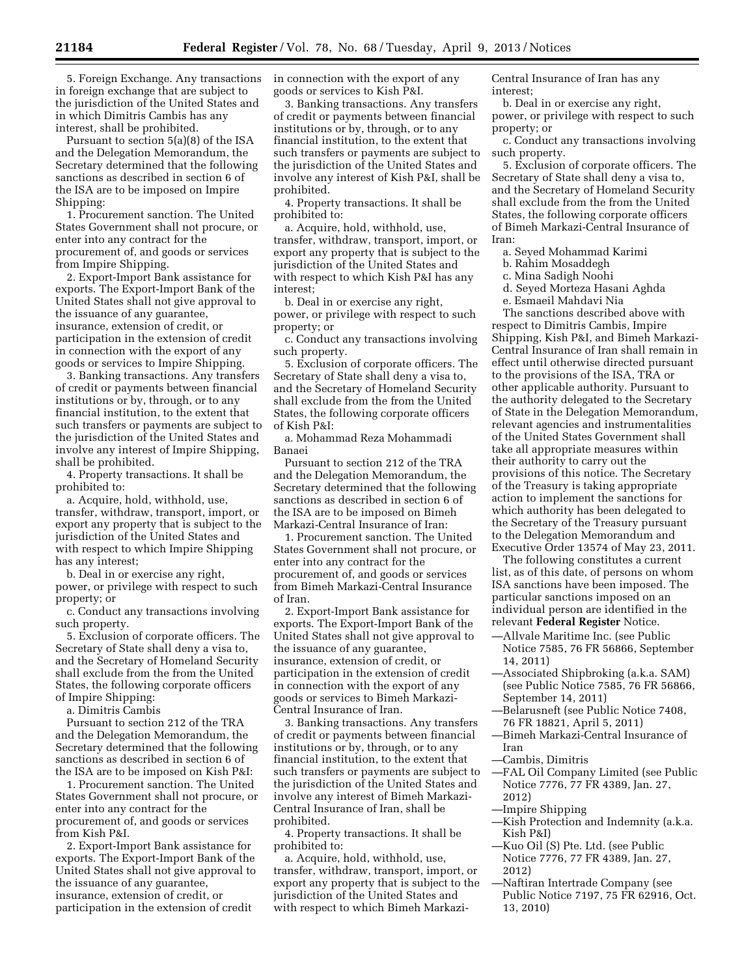5. Foreign Exchange. Any transactions in foreign exchange that are subject to the jurisdiction of the United States and in which Dimitris Cambis has any interest, shall be prohibited.

Pursuant to section 5(a)(8) of the ISA and the Delegation Memorandum, the Secretary determined that the following sanctions as described in section 6 of the ISA are to be imposed on Impire Shipping:

1. Procurement sanction. The United States Government shall not procure, or enter into any contract for the procurement of, and goods or services from Impire Shipping.

2. Export-Import Bank assistance for exports. The Export-Import Bank of the United States shall not give approval to the issuance of any guarantee, insurance, extension of credit, or participation in the extension of credit in connection with the export of any goods or services to Impire Shipping.

3. Banking transactions. Any transfers of credit or payments between financial institutions or by, through, or to any financial institution, to the extent that such transfers or payments are subject to the jurisdiction of the United States and involve any interest of Impire Shipping, shall be prohibited.

4. Property transactions. It shall be prohibited to:

a. Acquire, hold, withhold, use, transfer, withdraw, transport, import, or export any property that is subject to the jurisdiction of the United States and with respect to which Impire Shipping has any interest;

b. Deal in or exercise any right, power, or privilege with respect to such property; or

c. Conduct any transactions involving such property.

5. Exclusion of corporate officers. The Secretary of State shall deny a visa to, and the Secretary of Homeland Security shall exclude from the from the United States, the following corporate officers of Impire Shipping:

a. Dimitris Cambis

Pursuant to section 212 of the TRA and the Delegation Memorandum, the Secretary determined that the following sanctions as described in section 6 of the ISA are to be imposed on Kish P&I:

1. Procurement sanction. The United States Government shall not procure, or enter into any contract for the procurement of, and goods or services from Kish P&I.

2. Export-Import Bank assistance for exports. The Export-Import Bank of the United States shall not give approval to the issuance of any guarantee, insurance, extension of credit, or participation in the extension of credit

in connection with the export of any goods or services to Kish P&I.

3. Banking transactions. Any transfers of credit or payments between financial institutions or by, through, or to any financial institution, to the extent that such transfers or payments are subject to the jurisdiction of the United States and involve any interest of Kish P&I, shall be prohibited.

4. Property transactions. It shall be prohibited to:

a. Acquire, hold, withhold, use, transfer, withdraw, transport, import, or export any property that is subject to the jurisdiction of the United States and with respect to which Kish P&I has any interest;

b. Deal in or exercise any right, power, or privilege with respect to such property; or

c. Conduct any transactions involving such property.

5. Exclusion of corporate officers. The Secretary of State shall deny a visa to, and the Secretary of Homeland Security shall exclude from the from the United States, the following corporate officers of Kish P&I:

a. Mohammad Reza Mohammadi Banaei

Pursuant to section 212 of the TRA and the Delegation Memorandum, the Secretary determined that the following sanctions as described in section 6 of the ISA are to be imposed on Bimeh Markazi-Central Insurance of Iran:

1. Procurement sanction. The United States Government shall not procure, or enter into any contract for the procurement of, and goods or services from Bimeh Markazi-Central Insurance of Iran.

2. Export-Import Bank assistance for exports. The Export-Import Bank of the United States shall not give approval to the issuance of any guarantee, insurance, extension of credit, or participation in the extension of credit in connection with the export of any goods or services to Bimeh Markazi-Central Insurance of Iran.

3. Banking transactions. Any transfers of credit or payments between financial institutions or by, through, or to any financial institution, to the extent that such transfers or payments are subject to the jurisdiction of the United States and involve any interest of Bimeh Markazi-Central Insurance of Iran, shall be prohibited.

4. Property transactions. It shall be prohibited to:

a. Acquire, hold, withhold, use, transfer, withdraw, transport, import, or export any property that is subject to the jurisdiction of the United States and with respect to which Bimeh MarkaziCentral Insurance of Iran has any interest;

b. Deal in or exercise any right, power, or privilege with respect to such property; or

c. Conduct any transactions involving such property.

5. Exclusion of corporate officers. The Secretary of State shall deny a visa to, and the Secretary of Homeland Security shall exclude from the from the United States, the following corporate officers of Bimeh Markazi-Central Insurance of Iran:

a. Seyed Mohammad Karimi

b. Rahim Mosaddegh

c. Mina Sadigh Noohi

d. Seyed Morteza Hasani Aghda

e. Esmaeil Mahdavi Nia

The sanctions described above with respect to Dimitris Cambis, Impire Shipping, Kish P&I, and Bimeh Markazi-Central Insurance of Iran shall remain in effect until otherwise directed pursuant to the provisions of the ISA, TRA or other applicable authority. Pursuant to the authority delegated to the Secretary of State in the Delegation Memorandum, relevant agencies and instrumentalities of the United States Government shall take all appropriate measures within their authority to carry out the provisions of this notice. The Secretary of the Treasury is taking appropriate action to implement the sanctions for which authority has been delegated to the Secretary of the Treasury pursuant to the Delegation Memorandum and Executive Order 13574 of May 23, 2011.

The following constitutes a current list, as of this date, of persons on whom ISA sanctions have been imposed. The particular sanctions imposed on an individual person are identified in the relevant **Federal Register** Notice.

- —Allvale Maritime Inc. (see Public Notice 7585, 76 FR 56866, September 14, 2011)
- —Associated Shipbroking (a.k.a. SAM) (see Public Notice 7585, 76 FR 56866, September 14, 2011)
- —Belarusneft (see Public Notice 7408, 76 FR 18821, April 5, 2011)
- —Bimeh Markazi-Central Insurance of Iran
- —Cambis, Dimitris
- —FAL Oil Company Limited (see Public Notice 7776, 77 FR 4389, Jan. 27, 2012)
- —Impire Shipping
- —Kish Protection and Indemnity (a.k.a. Kish P&I)
- —Kuo Oil (S) Pte. Ltd. (see Public Notice 7776, 77 FR 4389, Jan. 27, 2012)
- —Naftiran Intertrade Company (see Public Notice 7197, 75 FR 62916, Oct. 13, 2010)